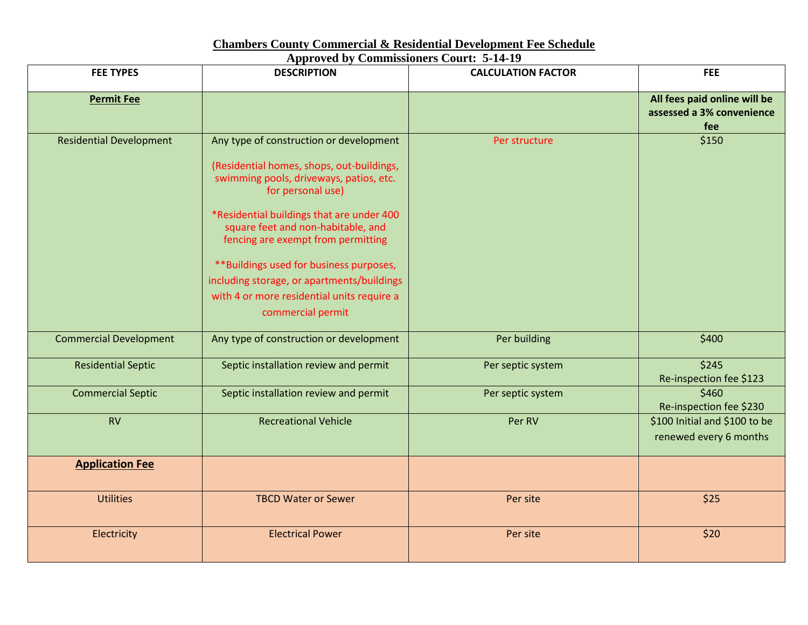## **Chambers County Commercial & Residential Development Fee Schedule**

|  | <b>Approved by Commissioners Court: 5-14-19</b> |  |  |
|--|-------------------------------------------------|--|--|
|--|-------------------------------------------------|--|--|

| <b>FEE TYPES</b>               | <b>DESCRIPTION</b>                                                                                                                                                                                                                                                                                                                                                                                                                        | <b>CALCULATION FACTOR</b> | <b>FEE</b>                                                       |
|--------------------------------|-------------------------------------------------------------------------------------------------------------------------------------------------------------------------------------------------------------------------------------------------------------------------------------------------------------------------------------------------------------------------------------------------------------------------------------------|---------------------------|------------------------------------------------------------------|
| <b>Permit Fee</b>              |                                                                                                                                                                                                                                                                                                                                                                                                                                           |                           | All fees paid online will be<br>assessed a 3% convenience<br>fee |
| <b>Residential Development</b> | Any type of construction or development<br>(Residential homes, shops, out-buildings,<br>swimming pools, driveways, patios, etc.<br>for personal use)<br>*Residential buildings that are under 400<br>square feet and non-habitable, and<br>fencing are exempt from permitting<br>**Buildings used for business purposes,<br>including storage, or apartments/buildings<br>with 4 or more residential units require a<br>commercial permit | Per structure             | \$150                                                            |
| <b>Commercial Development</b>  | Any type of construction or development                                                                                                                                                                                                                                                                                                                                                                                                   | Per building              | \$400                                                            |
| <b>Residential Septic</b>      | Septic installation review and permit                                                                                                                                                                                                                                                                                                                                                                                                     | Per septic system         | \$245<br>Re-inspection fee \$123                                 |
| <b>Commercial Septic</b>       | Septic installation review and permit                                                                                                                                                                                                                                                                                                                                                                                                     | Per septic system         | \$460<br>Re-inspection fee \$230                                 |
| <b>RV</b>                      | <b>Recreational Vehicle</b>                                                                                                                                                                                                                                                                                                                                                                                                               | Per RV                    | \$100 Initial and \$100 to be<br>renewed every 6 months          |
| <b>Application Fee</b>         |                                                                                                                                                                                                                                                                                                                                                                                                                                           |                           |                                                                  |
| <b>Utilities</b>               | <b>TBCD Water or Sewer</b>                                                                                                                                                                                                                                                                                                                                                                                                                | Per site                  | \$25                                                             |
| Electricity                    | <b>Electrical Power</b>                                                                                                                                                                                                                                                                                                                                                                                                                   | Per site                  | \$20                                                             |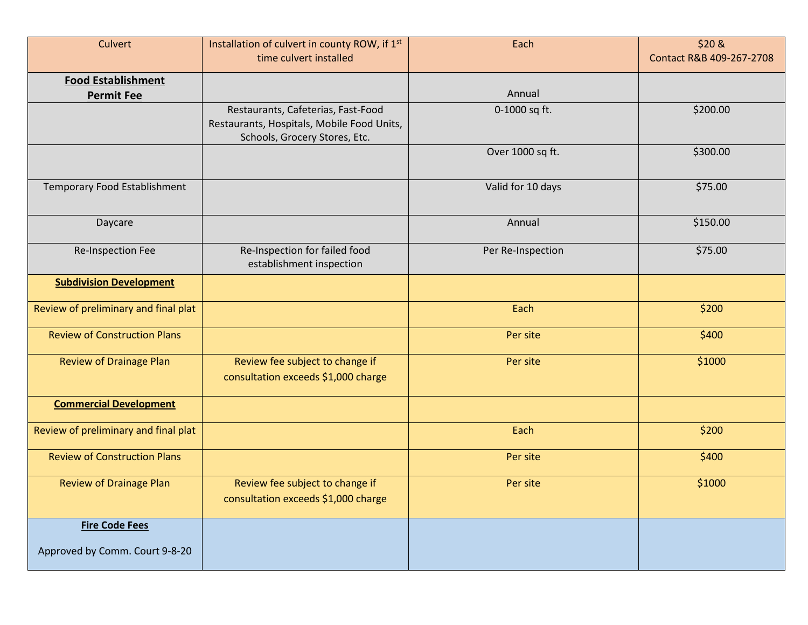| Culvert                                                 | Installation of culvert in county ROW, if 1st<br>time culvert installed                                           | Each              | \$20 &<br>Contact R&B 409-267-2708 |
|---------------------------------------------------------|-------------------------------------------------------------------------------------------------------------------|-------------------|------------------------------------|
| <b>Food Establishment</b><br><b>Permit Fee</b>          |                                                                                                                   | Annual            |                                    |
|                                                         | Restaurants, Cafeterias, Fast-Food<br>Restaurants, Hospitals, Mobile Food Units,<br>Schools, Grocery Stores, Etc. | 0-1000 sq ft.     | \$200.00                           |
|                                                         |                                                                                                                   | Over 1000 sq ft.  | \$300.00                           |
| <b>Temporary Food Establishment</b>                     |                                                                                                                   | Valid for 10 days | \$75.00                            |
| Daycare                                                 |                                                                                                                   | Annual            | \$150.00                           |
| Re-Inspection Fee                                       | Re-Inspection for failed food<br>establishment inspection                                                         | Per Re-Inspection | \$75.00                            |
| <b>Subdivision Development</b>                          |                                                                                                                   |                   |                                    |
| Review of preliminary and final plat                    |                                                                                                                   | Each              | \$200                              |
| <b>Review of Construction Plans</b>                     |                                                                                                                   | Per site          | \$400                              |
| <b>Review of Drainage Plan</b>                          | Review fee subject to change if<br>consultation exceeds \$1,000 charge                                            | Per site          | \$1000                             |
| <b>Commercial Development</b>                           |                                                                                                                   |                   |                                    |
| Review of preliminary and final plat                    |                                                                                                                   | Each              | \$200                              |
| <b>Review of Construction Plans</b>                     |                                                                                                                   | Per site          | \$400                              |
| <b>Review of Drainage Plan</b>                          | Review fee subject to change if<br>consultation exceeds \$1,000 charge                                            | Per site          | \$1000                             |
| <b>Fire Code Fees</b><br>Approved by Comm. Court 9-8-20 |                                                                                                                   |                   |                                    |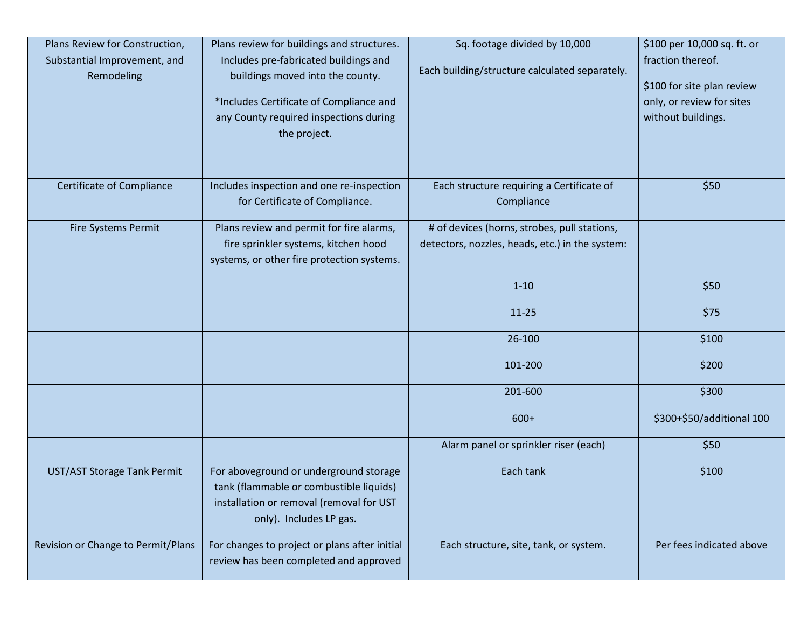| Plans Review for Construction,<br>Substantial Improvement, and<br>Remodeling | Plans review for buildings and structures.<br>Includes pre-fabricated buildings and<br>buildings moved into the county.<br>*Includes Certificate of Compliance and<br>any County required inspections during<br>the project. | Sq. footage divided by 10,000<br>Each building/structure calculated separately.                 | \$100 per 10,000 sq. ft. or<br>fraction thereof.<br>\$100 for site plan review<br>only, or review for sites<br>without buildings. |
|------------------------------------------------------------------------------|------------------------------------------------------------------------------------------------------------------------------------------------------------------------------------------------------------------------------|-------------------------------------------------------------------------------------------------|-----------------------------------------------------------------------------------------------------------------------------------|
| <b>Certificate of Compliance</b>                                             | Includes inspection and one re-inspection<br>for Certificate of Compliance.                                                                                                                                                  | Each structure requiring a Certificate of<br>Compliance                                         | \$50                                                                                                                              |
| <b>Fire Systems Permit</b>                                                   | Plans review and permit for fire alarms,<br>fire sprinkler systems, kitchen hood<br>systems, or other fire protection systems.                                                                                               | # of devices (horns, strobes, pull stations,<br>detectors, nozzles, heads, etc.) in the system: |                                                                                                                                   |
|                                                                              |                                                                                                                                                                                                                              | $1 - 10$                                                                                        | \$50                                                                                                                              |
|                                                                              |                                                                                                                                                                                                                              | $11 - 25$                                                                                       | \$75                                                                                                                              |
|                                                                              |                                                                                                                                                                                                                              | 26-100                                                                                          | \$100                                                                                                                             |
|                                                                              |                                                                                                                                                                                                                              | 101-200                                                                                         | \$200                                                                                                                             |
|                                                                              |                                                                                                                                                                                                                              | 201-600                                                                                         | \$300                                                                                                                             |
|                                                                              |                                                                                                                                                                                                                              | $600+$                                                                                          | \$300+\$50/additional 100                                                                                                         |
|                                                                              |                                                                                                                                                                                                                              | Alarm panel or sprinkler riser (each)                                                           | \$50                                                                                                                              |
| UST/AST Storage Tank Permit                                                  | For aboveground or underground storage<br>tank (flammable or combustible liquids)<br>installation or removal (removal for UST<br>only). Includes LP gas.                                                                     | Each tank                                                                                       | \$100                                                                                                                             |
| Revision or Change to Permit/Plans                                           | For changes to project or plans after initial<br>review has been completed and approved                                                                                                                                      | Each structure, site, tank, or system.                                                          | Per fees indicated above                                                                                                          |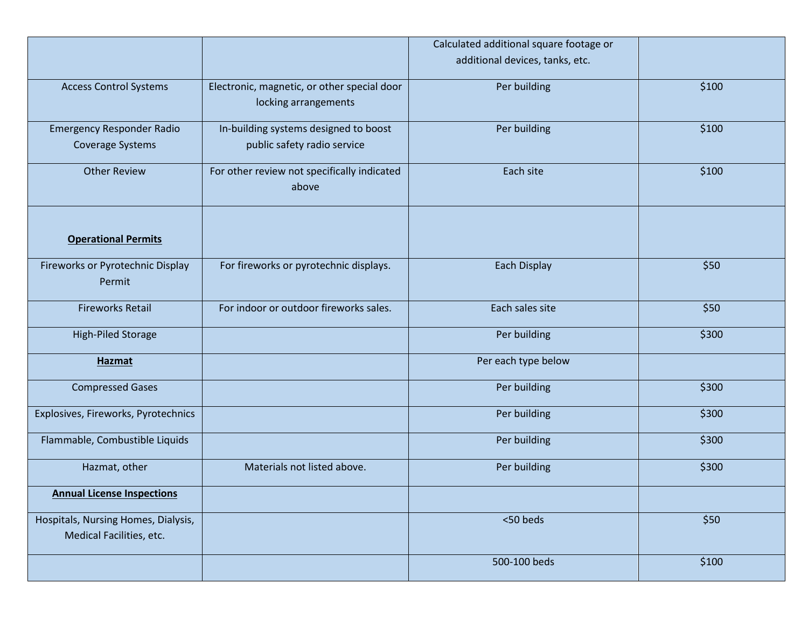|                                            |                                                      | Calculated additional square footage or |       |
|--------------------------------------------|------------------------------------------------------|-----------------------------------------|-------|
|                                            |                                                      |                                         |       |
|                                            |                                                      | additional devices, tanks, etc.         |       |
| <b>Access Control Systems</b>              | Electronic, magnetic, or other special door          | Per building                            | \$100 |
|                                            | locking arrangements                                 |                                         |       |
| <b>Emergency Responder Radio</b>           | In-building systems designed to boost                | Per building                            | \$100 |
| <b>Coverage Systems</b>                    | public safety radio service                          |                                         |       |
| <b>Other Review</b>                        | For other review not specifically indicated<br>above | Each site                               | \$100 |
|                                            |                                                      |                                         |       |
| <b>Operational Permits</b>                 |                                                      |                                         |       |
| Fireworks or Pyrotechnic Display<br>Permit | For fireworks or pyrotechnic displays.               | Each Display                            | \$50  |
|                                            |                                                      |                                         |       |
| <b>Fireworks Retail</b>                    | For indoor or outdoor fireworks sales.               | Each sales site                         | \$50  |
| <b>High-Piled Storage</b>                  |                                                      | Per building                            | \$300 |
| <b>Hazmat</b>                              |                                                      | Per each type below                     |       |
| <b>Compressed Gases</b>                    |                                                      | Per building                            | \$300 |
| Explosives, Fireworks, Pyrotechnics        |                                                      | Per building                            | \$300 |
| Flammable, Combustible Liquids             |                                                      | Per building                            | \$300 |
| Hazmat, other                              | Materials not listed above.                          | Per building                            | \$300 |
| <b>Annual License Inspections</b>          |                                                      |                                         |       |
| Hospitals, Nursing Homes, Dialysis,        |                                                      | <50 beds                                | \$50  |
| Medical Facilities, etc.                   |                                                      |                                         |       |
|                                            |                                                      | 500-100 beds                            | \$100 |